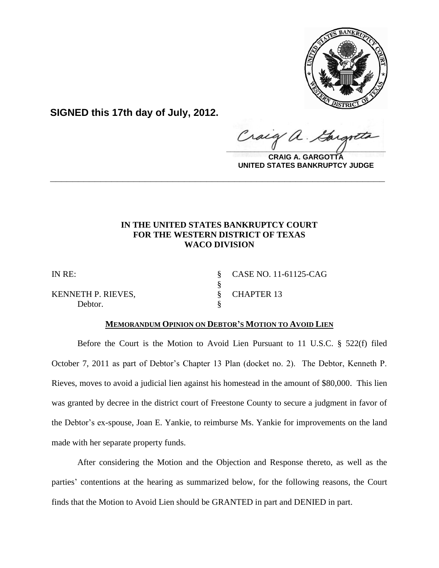

**SIGNED this 17th day of July, 2012.**

Craig  $\frac{1}{2}$ 

**CRAIG A. GARGOTTA UNITED STATES BANKRUPTCY JUDGE**

# **IN THE UNITED STATES BANKRUPTCY COURT FOR THE WESTERN DISTRICT OF TEXAS WACO DIVISION**

**\_\_\_\_\_\_\_\_\_\_\_\_\_\_\_\_\_\_\_\_\_\_\_\_\_\_\_\_\_\_\_\_\_\_\_\_\_\_\_\_\_\_\_\_\_\_\_\_\_\_\_\_\_\_\_\_\_\_\_\_**

KENNETH P. RIEVES, S. CHAPTER 13 Debtor.

IN RE: § CASE NO. 11-61125-CAG

# **MEMORANDUM OPINION ON DEBTOR'S MOTION TO AVOID LIEN**

§

Before the Court is the Motion to Avoid Lien Pursuant to 11 U.S.C. § 522(f) filed October 7, 2011 as part of Debtor's Chapter 13 Plan (docket no. 2). The Debtor, Kenneth P. Rieves, moves to avoid a judicial lien against his homestead in the amount of \$80,000. This lien was granted by decree in the district court of Freestone County to secure a judgment in favor of the Debtor's ex-spouse, Joan E. Yankie, to reimburse Ms. Yankie for improvements on the land made with her separate property funds.

After considering the Motion and the Objection and Response thereto, as well as the parties' contentions at the hearing as summarized below, for the following reasons, the Court finds that the Motion to Avoid Lien should be GRANTED in part and DENIED in part.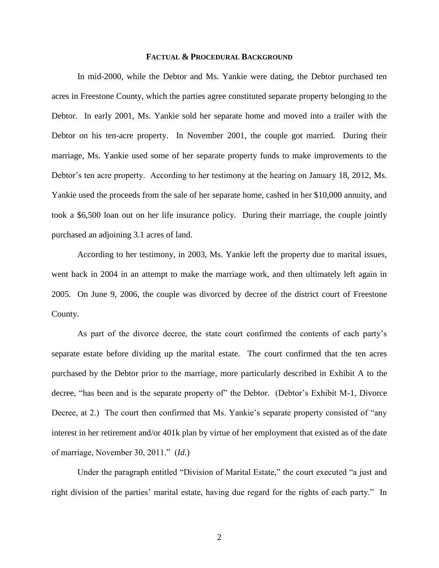### **FACTUAL & PROCEDURAL BACKGROUND**

In mid-2000, while the Debtor and Ms. Yankie were dating, the Debtor purchased ten acres in Freestone County, which the parties agree constituted separate property belonging to the Debtor. In early 2001, Ms. Yankie sold her separate home and moved into a trailer with the Debtor on his ten-acre property. In November 2001, the couple got married. During their marriage, Ms. Yankie used some of her separate property funds to make improvements to the Debtor's ten acre property. According to her testimony at the hearing on January 18, 2012, Ms. Yankie used the proceeds from the sale of her separate home, cashed in her \$10,000 annuity, and took a \$6,500 loan out on her life insurance policy. During their marriage, the couple jointly purchased an adjoining 3.1 acres of land.

According to her testimony, in 2003, Ms. Yankie left the property due to marital issues, went back in 2004 in an attempt to make the marriage work, and then ultimately left again in 2005. On June 9, 2006, the couple was divorced by decree of the district court of Freestone County.

As part of the divorce decree, the state court confirmed the contents of each party"s separate estate before dividing up the marital estate. The court confirmed that the ten acres purchased by the Debtor prior to the marriage, more particularly described in Exhibit A to the decree, "has been and is the separate property of" the Debtor. (Debtor's Exhibit M-1, Divorce Decree, at 2.) The court then confirmed that Ms. Yankie's separate property consisted of "any interest in her retirement and/or 401k plan by virtue of her employment that existed as of the date of marriage, November 30, 2011." (*Id.*)

Under the paragraph entitled "Division of Marital Estate," the court executed "a just and right division of the parties" marital estate, having due regard for the rights of each party." In

2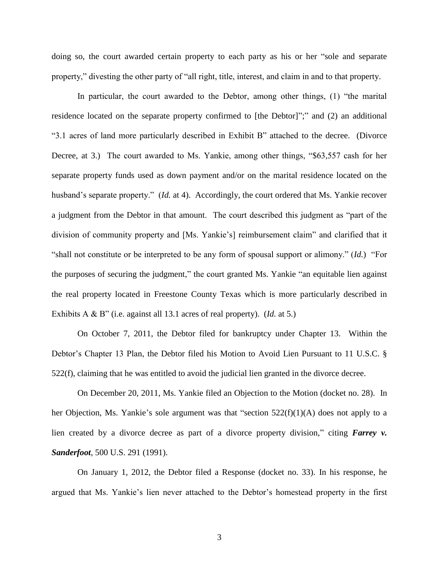doing so, the court awarded certain property to each party as his or her "sole and separate property," divesting the other party of "all right, title, interest, and claim in and to that property.

In particular, the court awarded to the Debtor, among other things, (1) "the marital residence located on the separate property confirmed to [the Debtor]";" and (2) an additional "3.1 acres of land more particularly described in Exhibit B" attached to the decree. (Divorce Decree, at 3.) The court awarded to Ms. Yankie, among other things, "\$63,557 cash for her separate property funds used as down payment and/or on the marital residence located on the husband's separate property." (*Id.* at 4). Accordingly, the court ordered that Ms. Yankie recover a judgment from the Debtor in that amount. The court described this judgment as "part of the division of community property and [Ms. Yankie's] reimbursement claim" and clarified that it "shall not constitute or be interpreted to be any form of spousal support or alimony." (*Id.*) "For the purposes of securing the judgment," the court granted Ms. Yankie "an equitable lien against the real property located in Freestone County Texas which is more particularly described in Exhibits A & B" (i.e. against all 13.1 acres of real property). (*Id.* at 5.)

On October 7, 2011, the Debtor filed for bankruptcy under Chapter 13. Within the Debtor's Chapter 13 Plan, the Debtor filed his Motion to Avoid Lien Pursuant to 11 U.S.C. § 522(f), claiming that he was entitled to avoid the judicial lien granted in the divorce decree.

On December 20, 2011, Ms. Yankie filed an Objection to the Motion (docket no. 28). In her Objection, Ms. Yankie's sole argument was that "section  $522(f)(1)(A)$  does not apply to a lien created by a divorce decree as part of a divorce property division," citing *Farrey v. Sanderfoot*, 500 U.S. 291 (1991).

On January 1, 2012, the Debtor filed a Response (docket no. 33). In his response, he argued that Ms. Yankie"s lien never attached to the Debtor"s homestead property in the first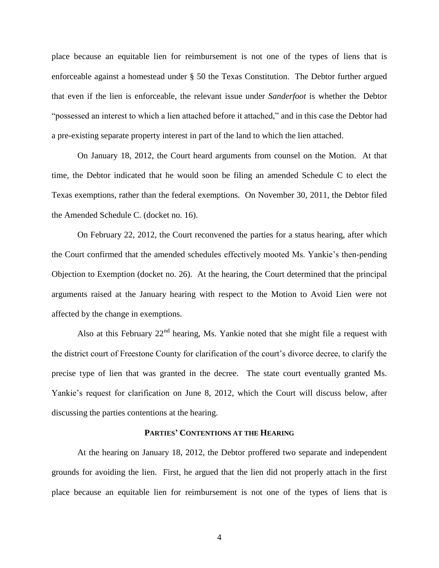place because an equitable lien for reimbursement is not one of the types of liens that is enforceable against a homestead under § 50 the Texas Constitution. The Debtor further argued that even if the lien is enforceable, the relevant issue under *Sanderfoot* is whether the Debtor "possessed an interest to which a lien attached before it attached," and in this case the Debtor had a pre-existing separate property interest in part of the land to which the lien attached.

On January 18, 2012, the Court heard arguments from counsel on the Motion. At that time, the Debtor indicated that he would soon be filing an amended Schedule C to elect the Texas exemptions, rather than the federal exemptions. On November 30, 2011, the Debtor filed the Amended Schedule C. (docket no. 16).

On February 22, 2012, the Court reconvened the parties for a status hearing, after which the Court confirmed that the amended schedules effectively mooted Ms. Yankie"s then-pending Objection to Exemption (docket no. 26). At the hearing, the Court determined that the principal arguments raised at the January hearing with respect to the Motion to Avoid Lien were not affected by the change in exemptions.

Also at this February  $22<sup>nd</sup>$  hearing, Ms. Yankie noted that she might file a request with the district court of Freestone County for clarification of the court"s divorce decree, to clarify the precise type of lien that was granted in the decree. The state court eventually granted Ms. Yankie's request for clarification on June 8, 2012, which the Court will discuss below, after discussing the parties contentions at the hearing.

### **PARTIES' CONTENTIONS AT THE HEARING**

At the hearing on January 18, 2012, the Debtor proffered two separate and independent grounds for avoiding the lien. First, he argued that the lien did not properly attach in the first place because an equitable lien for reimbursement is not one of the types of liens that is

4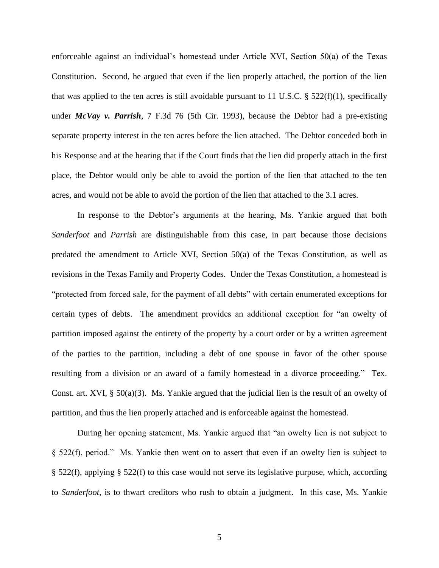enforceable against an individual"s homestead under Article XVI, Section 50(a) of the Texas Constitution. Second, he argued that even if the lien properly attached, the portion of the lien that was applied to the ten acres is still avoidable pursuant to 11 U.S.C. § 522(f)(1), specifically under *McVay v. Parrish*, 7 F.3d 76 (5th Cir. 1993), because the Debtor had a pre-existing separate property interest in the ten acres before the lien attached. The Debtor conceded both in his Response and at the hearing that if the Court finds that the lien did properly attach in the first place, the Debtor would only be able to avoid the portion of the lien that attached to the ten acres, and would not be able to avoid the portion of the lien that attached to the 3.1 acres.

In response to the Debtor"s arguments at the hearing, Ms. Yankie argued that both *Sanderfoot* and *Parrish* are distinguishable from this case, in part because those decisions predated the amendment to Article XVI, Section 50(a) of the Texas Constitution, as well as revisions in the Texas Family and Property Codes. Under the Texas Constitution, a homestead is "protected from forced sale, for the payment of all debts" with certain enumerated exceptions for certain types of debts. The amendment provides an additional exception for "an owelty of partition imposed against the entirety of the property by a court order or by a written agreement of the parties to the partition, including a debt of one spouse in favor of the other spouse resulting from a division or an award of a family homestead in a divorce proceeding." Tex. Const. art. XVI, § 50(a)(3). Ms. Yankie argued that the judicial lien is the result of an owelty of partition, and thus the lien properly attached and is enforceable against the homestead.

During her opening statement, Ms. Yankie argued that "an owelty lien is not subject to § 522(f), period." Ms. Yankie then went on to assert that even if an owelty lien is subject to § 522(f), applying § 522(f) to this case would not serve its legislative purpose, which, according to *Sanderfoot*, is to thwart creditors who rush to obtain a judgment. In this case, Ms. Yankie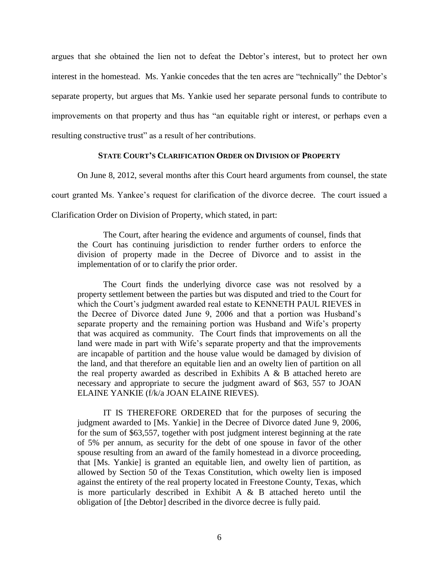argues that she obtained the lien not to defeat the Debtor"s interest, but to protect her own interest in the homestead. Ms. Yankie concedes that the ten acres are "technically" the Debtor's separate property, but argues that Ms. Yankie used her separate personal funds to contribute to improvements on that property and thus has "an equitable right or interest, or perhaps even a resulting constructive trust" as a result of her contributions.

## **STATE COURT'S CLARIFICATION ORDER ON DIVISION OF PROPERTY**

On June 8, 2012, several months after this Court heard arguments from counsel, the state court granted Ms. Yankee's request for clarification of the divorce decree. The court issued a Clarification Order on Division of Property, which stated, in part:

The Court, after hearing the evidence and arguments of counsel, finds that the Court has continuing jurisdiction to render further orders to enforce the division of property made in the Decree of Divorce and to assist in the implementation of or to clarify the prior order.

The Court finds the underlying divorce case was not resolved by a property settlement between the parties but was disputed and tried to the Court for which the Court's judgment awarded real estate to KENNETH PAUL RIEVES in the Decree of Divorce dated June 9, 2006 and that a portion was Husband"s separate property and the remaining portion was Husband and Wife"s property that was acquired as community. The Court finds that improvements on all the land were made in part with Wife's separate property and that the improvements are incapable of partition and the house value would be damaged by division of the land, and that therefore an equitable lien and an owelty lien of partition on all the real property awarded as described in Exhibits  $A \& B$  attached hereto are necessary and appropriate to secure the judgment award of \$63, 557 to JOAN ELAINE YANKIE (f/k/a JOAN ELAINE RIEVES).

IT IS THEREFORE ORDERED that for the purposes of securing the judgment awarded to [Ms. Yankie] in the Decree of Divorce dated June 9, 2006, for the sum of \$63,557, together with post judgment interest beginning at the rate of 5% per annum, as security for the debt of one spouse in favor of the other spouse resulting from an award of the family homestead in a divorce proceeding, that [Ms. Yankie] is granted an equitable lien, and owelty lien of partition, as allowed by Section 50 of the Texas Constitution, which owelty lien is imposed against the entirety of the real property located in Freestone County, Texas, which is more particularly described in Exhibit A  $\&$  B attached hereto until the obligation of [the Debtor] described in the divorce decree is fully paid.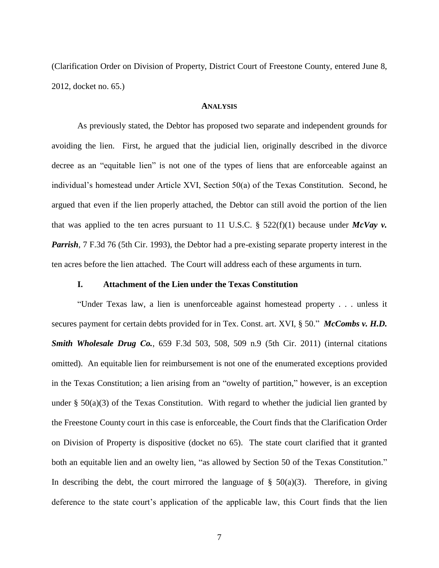(Clarification Order on Division of Property, District Court of Freestone County, entered June 8, 2012, docket no. 65.)

## **ANALYSIS**

As previously stated, the Debtor has proposed two separate and independent grounds for avoiding the lien. First, he argued that the judicial lien, originally described in the divorce decree as an "equitable lien" is not one of the types of liens that are enforceable against an individual"s homestead under Article XVI, Section 50(a) of the Texas Constitution. Second, he argued that even if the lien properly attached, the Debtor can still avoid the portion of the lien that was applied to the ten acres pursuant to 11 U.S.C.  $\S$  522(f)(1) because under *McVay v*. *Parrish*, 7 F.3d 76 (5th Cir. 1993), the Debtor had a pre-existing separate property interest in the ten acres before the lien attached. The Court will address each of these arguments in turn.

## **I. Attachment of the Lien under the Texas Constitution**

"Under Texas law, a lien is unenforceable against homestead property . . . unless it secures payment for certain debts provided for in Tex. Const. art. XVI, § 50." *McCombs v. H.D. Smith Wholesale Drug Co.*, 659 F.3d 503, 508, 509 n.9 (5th Cir. 2011) (internal citations omitted). An equitable lien for reimbursement is not one of the enumerated exceptions provided in the Texas Constitution; a lien arising from an "owelty of partition," however, is an exception under  $\S$  50(a)(3) of the Texas Constitution. With regard to whether the judicial lien granted by the Freestone County court in this case is enforceable, the Court finds that the Clarification Order on Division of Property is dispositive (docket no 65). The state court clarified that it granted both an equitable lien and an owelty lien, "as allowed by Section 50 of the Texas Constitution." In describing the debt, the court mirrored the language of  $\S$  50(a)(3). Therefore, in giving deference to the state court"s application of the applicable law, this Court finds that the lien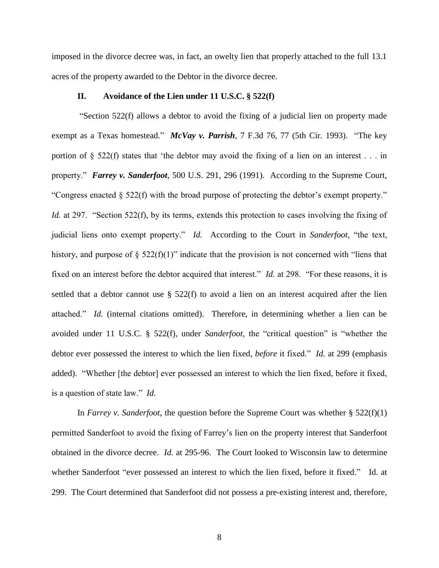imposed in the divorce decree was, in fact, an owelty lien that properly attached to the full 13.1 acres of the property awarded to the Debtor in the divorce decree.

# **II. Avoidance of the Lien under 11 U.S.C. § 522(f)**

"Section 522(f) allows a debtor to avoid the fixing of a judicial lien on property made exempt as a Texas homestead." *McVay v. Parrish*, 7 F.3d 76, 77 (5th Cir. 1993). "The key portion of § 522(f) states that "the debtor may avoid the fixing of a lien on an interest . . . in property." *Farrey v. Sanderfoot*, 500 U.S. 291, 296 (1991). According to the Supreme Court, "Congress enacted  $\S 522(f)$  with the broad purpose of protecting the debtor's exempt property." *Id.* at 297. "Section 522(f), by its terms, extends this protection to cases involving the fixing of judicial liens onto exempt property." *Id.* According to the Court in *Sanderfoot*, "the text, history, and purpose of  $\S$  522(f)(1)" indicate that the provision is not concerned with "liens that fixed on an interest before the debtor acquired that interest." *Id.* at 298. "For these reasons, it is settled that a debtor cannot use § 522(f) to avoid a lien on an interest acquired after the lien attached." *Id.* (internal citations omitted). Therefore, in determining whether a lien can be avoided under 11 U.S.C. § 522(f), under *Sanderfoot*, the "critical question" is "whether the debtor ever possessed the interest to which the lien fixed, *before* it fixed." *Id.* at 299 (emphasis added). "Whether [the debtor] ever possessed an interest to which the lien fixed, before it fixed, is a question of state law." *Id.*

In *Farrey v. Sanderfoot*, the question before the Supreme Court was whether § 522(f)(1) permitted Sanderfoot to avoid the fixing of Farrey"s lien on the property interest that Sanderfoot obtained in the divorce decree. *Id.* at 295-96. The Court looked to Wisconsin law to determine whether Sanderfoot "ever possessed an interest to which the lien fixed, before it fixed." Id. at 299. The Court determined that Sanderfoot did not possess a pre-existing interest and, therefore,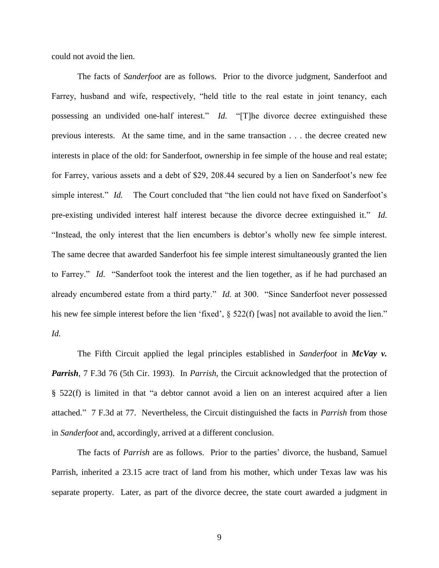could not avoid the lien.

The facts of *Sanderfoot* are as follows. Prior to the divorce judgment, Sanderfoot and Farrey, husband and wife, respectively, "held title to the real estate in joint tenancy, each possessing an undivided one-half interest." *Id.* "[T]he divorce decree extinguished these previous interests. At the same time, and in the same transaction . . . the decree created new interests in place of the old: for Sanderfoot, ownership in fee simple of the house and real estate; for Farrey, various assets and a debt of \$29, 208.44 secured by a lien on Sanderfoot's new fee simple interest." *Id.* The Court concluded that "the lien could not have fixed on Sanderfoot's pre-existing undivided interest half interest because the divorce decree extinguished it." *Id.* "Instead, the only interest that the lien encumbers is debtor"s wholly new fee simple interest. The same decree that awarded Sanderfoot his fee simple interest simultaneously granted the lien to Farrey." *Id.* "Sanderfoot took the interest and the lien together, as if he had purchased an already encumbered estate from a third party." *Id.* at 300. "Since Sanderfoot never possessed his new fee simple interest before the lien 'fixed',  $\S$  522(f) [was] not available to avoid the lien." *Id.*

The Fifth Circuit applied the legal principles established in *Sanderfoot* in *McVay v. Parrish*, 7 F.3d 76 (5th Cir. 1993). In *Parrish*, the Circuit acknowledged that the protection of § 522(f) is limited in that "a debtor cannot avoid a lien on an interest acquired after a lien attached." 7 F.3d at 77. Nevertheless, the Circuit distinguished the facts in *Parrish* from those in *Sanderfoot* and, accordingly, arrived at a different conclusion.

The facts of *Parrish* are as follows. Prior to the parties' divorce, the husband, Samuel Parrish, inherited a 23.15 acre tract of land from his mother, which under Texas law was his separate property. Later, as part of the divorce decree, the state court awarded a judgment in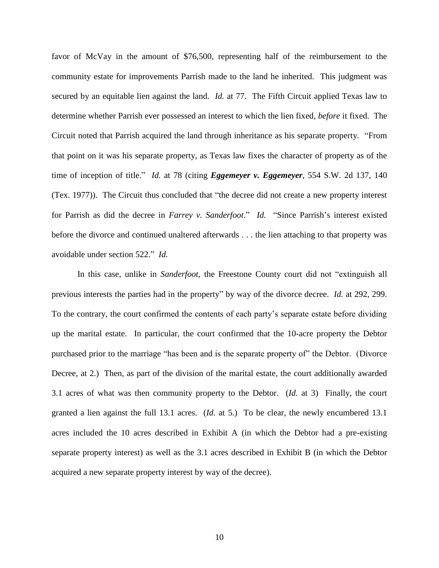favor of McVay in the amount of \$76,500, representing half of the reimbursement to the community estate for improvements Parrish made to the land he inherited. This judgment was secured by an equitable lien against the land. *Id.* at 77. The Fifth Circuit applied Texas law to determine whether Parrish ever possessed an interest to which the lien fixed, *before* it fixed. The Circuit noted that Parrish acquired the land through inheritance as his separate property. "From that point on it was his separate property, as Texas law fixes the character of property as of the time of inception of title." *Id.* at 78 (citing *Eggemeyer v. Eggemeyer*, 554 S.W. 2d 137, 140 (Tex. 1977)). The Circuit thus concluded that "the decree did not create a new property interest for Parrish as did the decree in *Farrey v. Sanderfoot.*" *Id.* "Since Parrish's interest existed before the divorce and continued unaltered afterwards . . . the lien attaching to that property was avoidable under section 522." *Id.*

In this case, unlike in *Sanderfoot*, the Freestone County court did not "extinguish all previous interests the parties had in the property" by way of the divorce decree. *Id.* at 292, 299. To the contrary, the court confirmed the contents of each party"s separate estate before dividing up the marital estate. In particular, the court confirmed that the 10-acre property the Debtor purchased prior to the marriage "has been and is the separate property of" the Debtor. (Divorce Decree, at 2.) Then, as part of the division of the marital estate, the court additionally awarded 3.1 acres of what was then community property to the Debtor. (*Id.* at 3) Finally, the court granted a lien against the full 13.1 acres. (*Id.* at 5.) To be clear, the newly encumbered 13.1 acres included the 10 acres described in Exhibit A (in which the Debtor had a pre-existing separate property interest) as well as the 3.1 acres described in Exhibit B (in which the Debtor acquired a new separate property interest by way of the decree).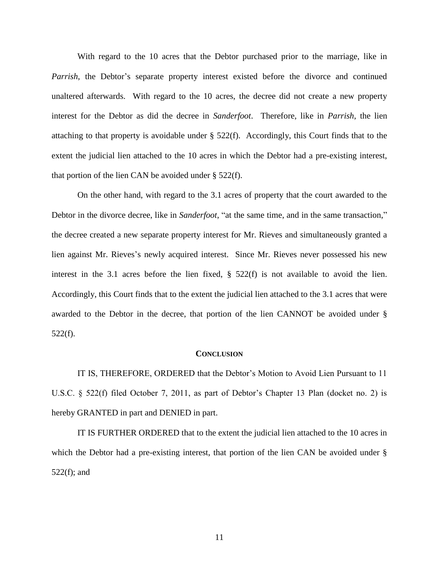With regard to the 10 acres that the Debtor purchased prior to the marriage, like in *Parrish*, the Debtor's separate property interest existed before the divorce and continued unaltered afterwards. With regard to the 10 acres, the decree did not create a new property interest for the Debtor as did the decree in *Sanderfoot*. Therefore, like in *Parrish*, the lien attaching to that property is avoidable under § 522(f). Accordingly, this Court finds that to the extent the judicial lien attached to the 10 acres in which the Debtor had a pre-existing interest, that portion of the lien CAN be avoided under  $\S$  522(f).

On the other hand, with regard to the 3.1 acres of property that the court awarded to the Debtor in the divorce decree, like in *Sanderfoot*, "at the same time, and in the same transaction," the decree created a new separate property interest for Mr. Rieves and simultaneously granted a lien against Mr. Rieves's newly acquired interest. Since Mr. Rieves never possessed his new interest in the 3.1 acres before the lien fixed,  $\S$  522(f) is not available to avoid the lien. Accordingly, this Court finds that to the extent the judicial lien attached to the 3.1 acres that were awarded to the Debtor in the decree, that portion of the lien CANNOT be avoided under § 522(f).

#### **CONCLUSION**

IT IS, THEREFORE, ORDERED that the Debtor"s Motion to Avoid Lien Pursuant to 11 U.S.C. § 522(f) filed October 7, 2011, as part of Debtor's Chapter 13 Plan (docket no. 2) is hereby GRANTED in part and DENIED in part.

IT IS FURTHER ORDERED that to the extent the judicial lien attached to the 10 acres in which the Debtor had a pre-existing interest, that portion of the lien CAN be avoided under § 522(f); and